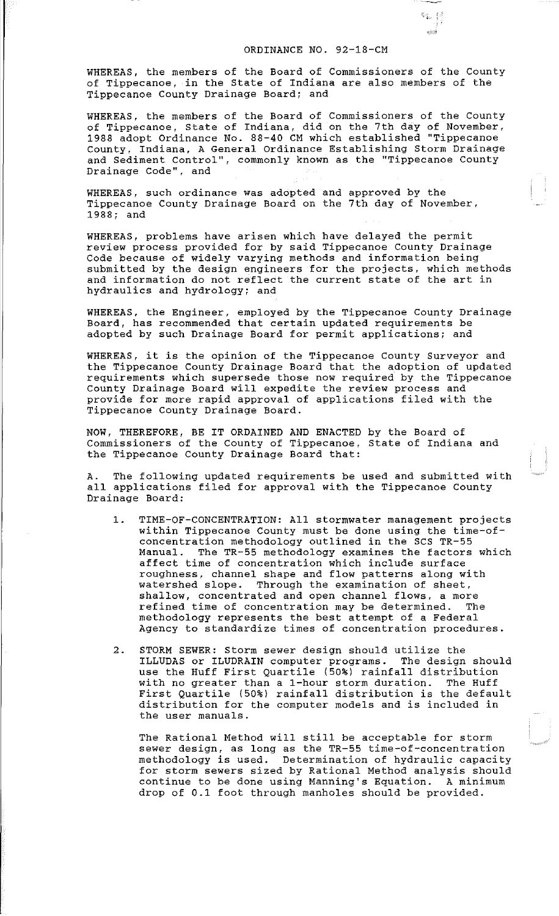## ORDINANCE NO. 92-18-CM

輸出税 .<br>محمد

WHEREAS, the members of the Board of Commissioners of the County of Tippecanoe, in the State of Indiana are also members of the Tippecanoe County Drainage Board; and

WHEREAS, the members of the Board of Commissioners of the County of Tippecanoe, State of Indiana, did on the 7th day of November, 1988 adopt Ordinance No. 88-40 CM which established "Tippecanoe County, Indiana, A General Ordinance Establishing Storm Drainage and Sediment Control", commonly known as the "Tippecanoe County Drainage Code", and

WHEREAS, such ordinance was adopted and approved by the Tippecanoe County Drainage Board on the 7th day of November, 1988; and

WHEREAS, problems have arisen which have delayed the permit review process provided for by said Tippecanoe County Drainage Code because of widely varying methods and information being submitted by the design engineers for the projects, which methods and information do not reflect the current state of the art in hydraulics and hydrology; and

WHEREAS, the Engineer, employed by the Tippecanoe County Drainage Board, has recommended that certain updated requirements be adopted by such Drainage Board for permit applications; and

WHEREAS, it is the opinion of the Tippecanoe County Surveyor and the Tippecanoe County Drainage Board that the adoption of updated requirements which supersede those now required by the Tippecanoe County Drainage Board will expedite the review process and provide for more rapid approval of applications filed with the Tippecanoe County Drainage Board.

NOW, THEREFORE, BE IT ORDAINED AND ENACTED by the Board of Commissioners of the County of Tippecanoe, State of Indiana and the Tippecanoe County Drainage Board that:

A. The following updated requirements be used and submitted with all applications filed for approval with the Tippecanoe County Drainage Board:

- 1. TIME-OF-CONCENTRATION: All stormwater management projects within Tippecanoe County must be done using the time-ofconcentration methodology outlined in the SCS TR-55<br>Manual. The TR-55 methodology examines the factors The TR-55 methodology examines the factors which affect time of concentration which include surface roughness, channel shape and flow patterns along with watershed slope. Through the examination of sheet, shallow, concentrated and open channel flows, a more<br>refined time of concentration may be determined. The refined time of concentration may be determined. methodology represents the best attempt of a Federal Agency to standardize times of concentration procedures.
- 2. STORM SEWER: Storm sewer design should utilize the ILLUDAS or ILUDRAIN computer programs. The design should use the Huff First Quartile (50%) rainfall distribution with no greater than a 1-hour storm duration. The Huff First Quartile (50%) rainfall distribution is the default distribution for the computer models and is included in the user manuals.

The Rational Method will still be acceptable for storm sewer design, as long as the TR-55 time-of-concentration methodology is used. Determination of hydraulic capacity for storm sewers sized by Rational Method analysis should continue to be done using Manning's Equation. A minimum drop of 0.1 foot through manholes should be provided.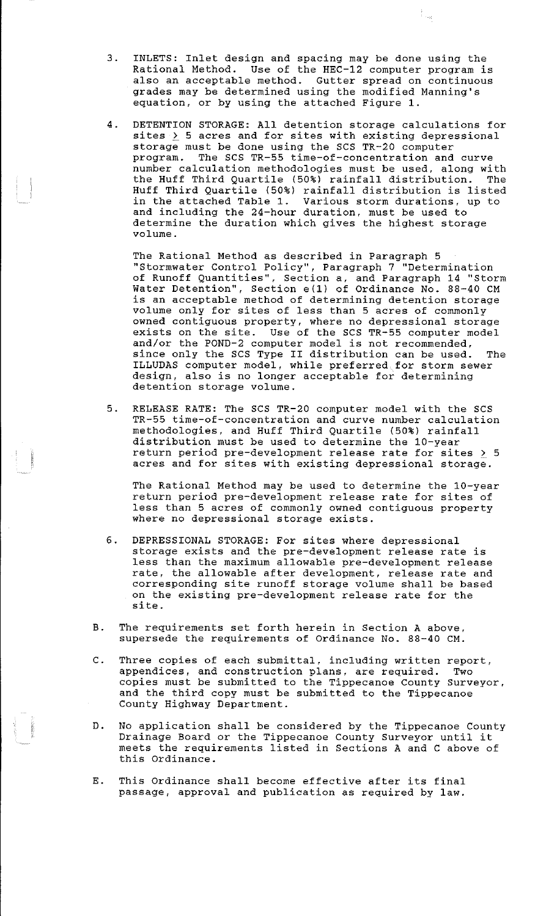3. INLETS: Inlet design and spacing may be done using the Rational Method. Use of the HEC-12 computer program is also an acceptable method. Gutter spread on continuous grades may be determined using the modified Manning's equation, or by using the attached Figure 1.

Filippi<br>Tomas

4. DETENTION STORAGE: All detention storage calculations for sites  $\geq$  5 acres and for sites with existing depressional storage must be done using the SCS TR-20 computer program. The SCS TR-55 time-of-concentration and curve number calculation methodologies must be used, along with the Huff Third Quartile (50%) rainfall distribution. Huff Third Quartile (50%) rainfall distribution is listed in the attached Table 1. Various storm durations, up to and including the 24-hour duration, must be used to determine the duration which gives the highest storage volume.

The Rational Method as described in Paragraph 5 "Stormwater Control Policy", Paragraph 7 "Determination of Runoff Quantities'', Section a, and Paragraph 14 "Storm Water Detention", Section e(1) of Ordinance No. 88-40 CM is an acceptable method of determining detention storage volume only for sites of less than 5 acres of commonly owned contiguous property, where no depressional storage exists on the site. Use of the SCS TR-55 computer model and/or the POND-2 computer model is not recommended, since only the SCS Type II distribution can be used. The since only the SCS Type II distribution can be used. The ILLUDAS computer model, while preferred for storm sewer design, also is no longer acceptable for determining detention storage volume.

5. RELEASE RATE: The SCS TR-20 computer model with the SCS TR-55 time-of-concentration and curve number calculation methodologies, and Huff Third Quartile (50%) rainfall distribution must be used to determine the 10-year arbeitzweien mabe ze abed eo decermine ene for year<br>return period pre-development release rate for sites > 5 acres and for sites with existing depressional storage.

The Rational Method may be used to determine the 10-year return period pre-development release rate for sites of less than 5 acres of commonly owned contiguous property where no depressional storage exists.

- 6. DEPRESSIONAL STORAGE: For sites where depressional storage exists and the pre-development release rate is less than the maximum allowable pre-development release rate, the allowable after development, release rate and corresponding site runoff storage volume shall be based on the existing pre-development release rate for the site.
- B. The requirements set forth herein in Section A above, supersede the requirements of Ordinance No. 88-40 CM.
- C. Three copies of each submittal, including written report, appendices, and construction plans, are required. Two copies must be submitted to the Tippecanoe County Surveyor, and the third copy must be submitted to the Tippecanoe County Highway Department.
- D. No application shall be considered by the Tippecanoe County Drainage Board or the Tippecanoe County Surveyor until it meets the requirements listed in Sections A and C above of this Ordinance.
- E. This Ordinance shall become effective after its final passage, approval and publication as required by law.